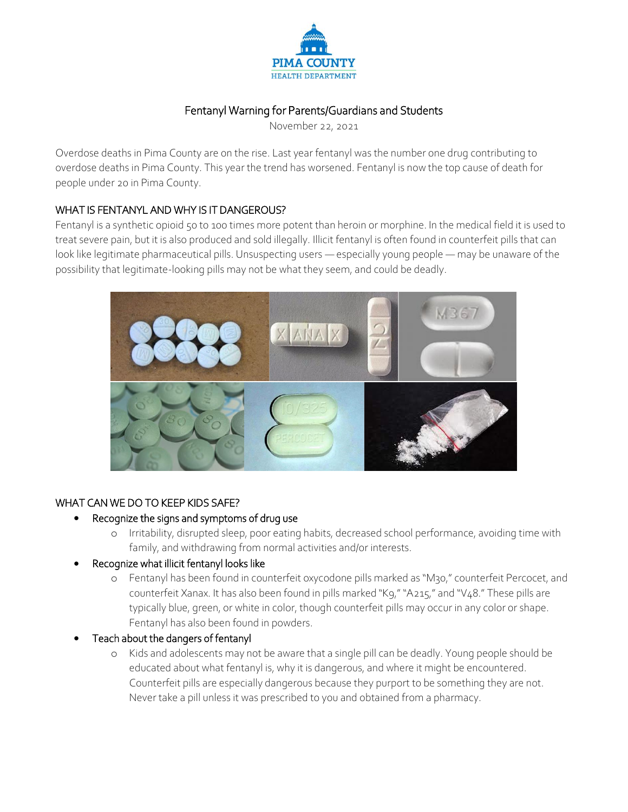

# Fentanyl Warning for Parents/Guardians and Students

November 22, 2021

Overdose deaths in Pima County are on the rise. Last year fentanyl was the number one drug contributing to overdose deaths in Pima County. This year the trend has worsened. Fentanyl is now the top cause of death for people under 20 in Pima County.

#### WHAT IS FENTANYL AND WHY IS IT DANGEROUS?

Fentanyl is a synthetic opioid 50 to 100 times more potent than heroin or morphine. In the medical field it is used to treat severe pain, but it is also produced and sold illegally. Illicit fentanyl is often found in counterfeit pills that can look like legitimate pharmaceutical pills. Unsuspecting users — especially young people — may be unaware of the possibility that legitimate-looking pills may not be what they seem, and could be deadly.



#### WHAT CAN WE DO TO KEEP KIDS SAFE?

#### Recognize the signs and symptoms of drug use

- o Irritability, disrupted sleep, poor eating habits, decreased school performance, avoiding time with family, and withdrawing from normal activities and/or interests.
- Recognize what illicit fentanyl looks like
	- o Fentanyl has been found in counterfeit oxycodone pills marked as "M30," counterfeit Percocet, and counterfeit Xanax. It has also been found in pills marked "K9," "A215," and "V48." These pills are typically blue, green, or white in color, though counterfeit pills may occur in any color or shape. Fentanyl has also been found in powders.
- Teach about the dangers of fentanyl
	- o Kids and adolescents may not be aware that a single pill can be deadly. Young people should be educated about what fentanyl is, why it is dangerous, and where it might be encountered. Counterfeit pills are especially dangerous because they purport to be something they are not. Never take a pill unless it was prescribed to you and obtained from a pharmacy.